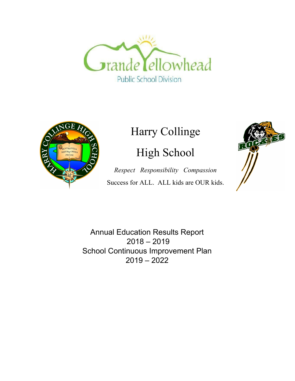



# Harry Collinge

# High School

*Respect Responsibility Compassion* Success for ALL. ALL kids are OUR kids.



Annual Education Results Report 2018 – 2019 School Continuous Improvement Plan 2019 – 2022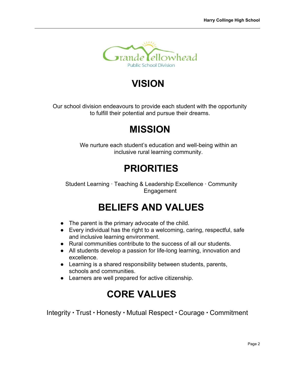

# **VISION**

Our school division endeavours to provide each student with the opportunity to fulfill their potential and pursue their dreams.

# **MISSION**

We nurture each student's education and well-being within an inclusive rural learning community.

# **PRIORITIES**

Student Learning · Teaching & Leadership Excellence · Community Engagement

# **BELIEFS AND VALUES**

- The parent is the primary advocate of the child.
- Every individual has the right to a welcoming, caring, respectful, safe and inclusive learning environment.
- Rural communities contribute to the success of all our students.
- All students develop a passion for life-long learning, innovation and excellence.
- Learning is a shared responsibility between students, parents, schools and communities.
- Learners are well prepared for active citizenship.

# **CORE VALUES**

Integrity ∙ Trust ∙ Honesty ∙ Mutual Respect ∙ Courage ∙ Commitment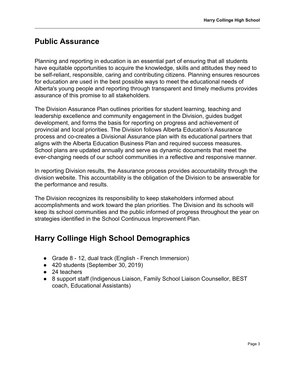### **Public Assurance**

Planning and reporting in education is an essential part of ensuring that all students have equitable opportunities to acquire the knowledge, skills and attitudes they need to be self-reliant, responsible, caring and contributing citizens. Planning ensures resources for education are used in the best possible ways to meet the educational needs of Alberta's young people and reporting through transparent and timely mediums provides assurance of this promise to all stakeholders.

The Division Assurance Plan outlines priorities for student learning, teaching and leadership excellence and community engagement in the Division, guides budget development, and forms the basis for reporting on progress and achievement of provincial and local priorities. The Division follows Alberta Education's Assurance process and co-creates a Divisional Assurance plan with its educational partners that aligns with the Alberta Education Business Plan and required success measures. School plans are updated annually and serve as dynamic documents that meet the ever-changing needs of our school communities in a reflective and responsive manner.

In reporting Division results, the Assurance process provides accountability through the division website. This accountability is the obligation of the Division to be answerable for the performance and results.

The Division recognizes its responsibility to keep stakeholders informed about accomplishments and work toward the plan priorities. The Division and its schools will keep its school communities and the public informed of progress throughout the year on strategies identified in the School Continuous Improvement Plan.

### **Harry Collinge High School Demographics**

- Grade 8 12, dual track (English French Immersion)
- 420 students (September 30, 2019)
- 24 teachers
- 8 support staff (Indigenous Liaison, Family School Liaison Counsellor, BEST coach, Educational Assistants)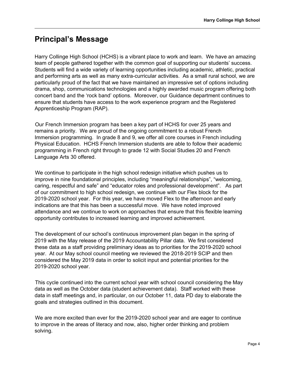### **Principal's Message**

Harry Collinge High School (HCHS) is a vibrant place to work and learn. We have an amazing team of people gathered together with the common goal of supporting our students' success. Students will find a wide variety of learning opportunities including academic, athletic, practical and performing arts as well as many extra-curricular activities. As a small rural school, we are particularly proud of the fact that we have maintained an impressive set of options including drama, shop, communications technologies and a highly awarded music program offering both concert band and the 'rock band' options. Moreover, our Guidance department continues to ensure that students have access to the work experience program and the Registered Apprenticeship Program (RAP).

Our French Immersion program has been a key part of HCHS for over 25 years and remains a priority. We are proud of the ongoing commitment to a robust French Immersion programming. In grade 8 and 9, we offer all core courses in French including Physical Education. HCHS French Immersion students are able to follow their academic programming in French right through to grade 12 with Social Studies 20 and French Language Arts 30 offered.

We continue to participate in the high school redesign initiative which pushes us to improve in nine foundational principles, including "meaningful relationships", "welcoming, caring, respectful and safe" and "educator roles and professional development". As part of our commitment to high school redesign, we continue with our Flex block for the 2019-2020 school year. For this year, we have moved Flex to the afternoon and early indications are that this has been a successful move. We have noted improved attendance and we continue to work on approaches that ensure that this flexible learning opportunity contributes to increased learning and improved achievement.

The development of our school's continuous improvement plan began in the spring of 2019 with the May release of the 2019 Accountability Pillar data. We first considered these data as a staff providing preliminary ideas as to priorities for the 2019-2020 school year. At our May school council meeting we reviewed the 2018-2019 SCIP and then considered the May 2019 data in order to solicit input and potential priorities for the 2019-2020 school year.

This cycle continued into the current school year with school council considering the May data as well as the October data (student achievement data). Staff worked with these data in staff meetings and, in particular, on our October 11, data PD day to elaborate the goals and strategies outlined in this document.

We are more excited than ever for the 2019-2020 school year and are eager to continue to improve in the areas of literacy and now, also, higher order thinking and problem solving.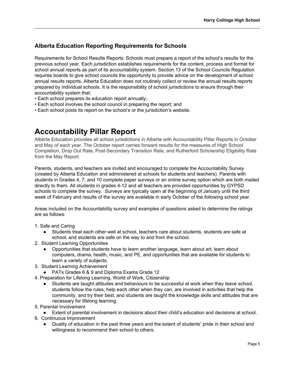#### **Alberta Education Reporting Requirements for Schools**

Requirements for School Results Reports: Schools must prepare a report of the school's results for the previous school year. Each jurisdiction establishes requirements for the content, process and format for school annual reports as part of its accountability system. Section 13 of the School Councils Regulation requires boards to give school councils the opportunity to provide advice on the development of school annual results reports. Alberta Education does not routinely collect or review the annual results reports prepared by individual schools. It is the responsibility of school jurisdictions to ensure through their accountability system that:

- Each school prepares its education report annually;
- Each school involves the school council in preparing the report; and
- Each school posts its report on the school's or the jurisdiction's website.

### **Accountability Pillar Report**

Alberta Education provides all school jurisdictions in Alberta with Accountability Pillar Reports in October and May of each year. The October report carries forward results for the measures of High School Completion, Drop Out Rate, Post-Secondary Transition Rate, and Rutherford Scholarship Eligibility Rate from the May Report.

Parents, students, and teachers are invited and encouraged to complete the Accountability Survey (created by Alberta Education and administered at schools for students and teachers). Parents with students in Grades 4, 7, and 10 complete paper surveys or an online survey option which are both mailed directly to them. All students in grades 4-12 and all teachers are provided opportunities by GYPSD schools to complete the survey. Surveys are typically open at the beginning of January until the third week of February and results of the survey are available in early October of the following school year.

Areas included on the Accountability survey and examples of questions asked to determine the ratings are as follows:

- 1. Safe and Caring
	- Students treat each other well at school, teachers care about students, students are safe at school, and students are safe on the way to and from the school.
- 2. Student Learning Opportunities
	- Opportunities that students have to learn another language, learn about art, learn about computers, drama, health, music, and PE, and opportunities that are available for students to learn a variety of subjects.
- 3. Student Learning Achievement
	- PATs Grades 6 & 9 and Diploma Exams Grade 12
- 4. Preparation for Lifelong Learning, World of Work, Citizenship
	- Students are taught attitudes and behaviours to be successful at work when they leave school, students follow the rules, help each other when they can, are involved in activities that help the community, and try their best, and students are taught the knowledge skills and attitudes that are necessary for lifelong learning.
- 5. Parental Involvement

● Extent of parental involvement in decisions about their child's education and decisions at school. 6. Continuous Improvement

● Quality of education in the past three years and the extent of students' pride in their school and willingness to recommend their school to others.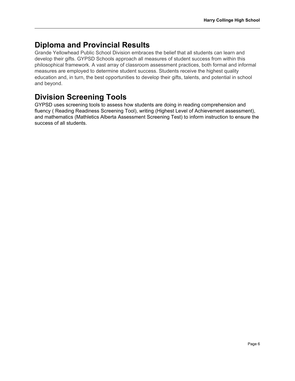### **Diploma and Provincial Results**

Grande Yellowhead Public School Division embraces the belief that all students can learn and develop their gifts. GYPSD Schools approach all measures of student success from within this philosophical framework. A vast array of classroom assessment practices, both formal and informal measures are employed to determine student success. Students receive the highest quality education and, in turn, the best opportunities to develop their gifts, talents, and potential in school and beyond.

## **Division Screening Tools**

GYPSD uses screening tools to assess how students are doing in reading comprehension and fluency ( Reading Readiness Screening Tool), writing (Highest Level of Achievement assessment), and mathematics (Mathletics Alberta Assessment Screening Test) to inform instruction to ensure the success of all students.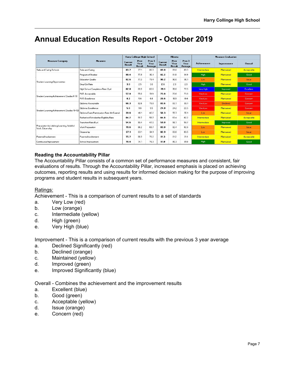## **Annual Education Results Report - October 2019**

| <b>Measure Category</b>                                          | <b>Measure</b>                             | <b>Harry Collinge High School</b> |                        |                                      | <b>Alberta</b>           |                               |                                      | <b>Measure Evaluation</b> |             |                  |
|------------------------------------------------------------------|--------------------------------------------|-----------------------------------|------------------------|--------------------------------------|--------------------------|-------------------------------|--------------------------------------|---------------------------|-------------|------------------|
|                                                                  |                                            | Current<br><b>Result</b>          | Prev<br>Year<br>Result | Prev <sub>3</sub><br>Year<br>Average | Current<br><b>Result</b> | Prev<br>Year<br><b>Result</b> | Prev <sub>3</sub><br>Year<br>Average | <b>Achievement</b>        | Improvement | <b>Overall</b>   |
| Safe and Caring Schools                                          | Safe and Caring                            | 83.7                              | 77.1                   | 80.3                                 | 89.0                     | 89.0                          | 89.3                                 | Intermediate              | Maintained  | Acceptable       |
| Student Learning Opportunities                                   | Program of Studies                         | 80.4                              | 77.9                   | 80.1                                 | 82.2                     | 81.8                          | 81.9                                 | High                      | Maintained  | Good             |
|                                                                  | <b>Education Quality</b>                   | 82.6                              | 77.3                   | 79.4                                 | 90.2                     | 90.0                          | 90.1                                 | Low                       | Maintained  | <b>Issue</b>     |
|                                                                  | Drop Out Rate                              | 3.0                               | 2.5                    | 3.0                                  | 2.6                      | 2.3                           | 2.9                                  | <b>High</b>               | Maintained  | Good             |
|                                                                  | High School Completion Rate (3 vr)         | 82.0                              | 69.9                   | 69.6                                 | 79.1                     | 78.0                          | 77.5                                 | Very High                 | Improved    | <b>Excellent</b> |
| Student Learning Achievement (Grades K-3)                        | PAT: Acceptable                            | 57.8                              | 55.0                   | 51.9                                 | 73.8                     | 73.6                          | 73.6                                 | VeruLow                   | Maintained  | Concern          |
|                                                                  | PAT: Excellence                            | 8.2                               | 5.6                    | 6.6                                  | 20.6                     | 19.9                          | 19.6                                 | VeruLow                   | Maintained  | Concern,         |
| Student Learning Achievement (Grades 10-12)                      | Diploma: Acceptable                        | 66.3                              | 82.6                   | 78.8                                 | 83.6                     | 83.7                          | 83.1                                 | VeryLow                   | Declined    | Concern,         |
|                                                                  | Diploma: Excellence                        | 5.6                               | 9.6                    | 3.5                                  | 24.0                     | 24.2                          | 22.5                                 | VeruLow                   | Maintained  | Concern          |
|                                                                  | Diploma Exam Participation Rate (4+ Exams) | 39.6                              | 46.1                   | 40.2                                 | 56.3                     | 55.7                          | 55.1                                 | Low                       | Maintained  | <b>Issue</b>     |
|                                                                  | Rutherford Scholarship Eligibility Rate    | 64.2                              | 59.7                   | 58.7                                 | 64.8                     | 63.4                          | 62.2                                 | Intermediate              | Maintained  | Acceptable       |
| Preparation for Lifelong Learning, World of<br>Vork, Citizenship | Transition Rate (6 vr)                     | 54.6                              | 50.4                   | 47.0                                 | 59.0                     | 58.7                          | 58.7                                 | Intermediate              | Improved    | Good             |
|                                                                  | Work Preparation                           | 70.6                              | 66.2                   | 69.7                                 | 83.0                     | 82.4                          | 82.6                                 | Low                       | Maintained  | <i>ssue</i>      |
|                                                                  | Citizenship                                | 67.1                              | 63.1                   | 64.1                                 | 82.9                     | 83.0                          | 83.5                                 | Low                       | Maintained  | Issue            |
| Parental Involvement                                             | Parental Involvement                       | 75.7                              | 68.9                   | 76.2                                 | 81.3                     | 81.2                          | 811                                  | Intermediate              | Maintained  | Acceptable       |
| Continuous Improvement                                           | School Improvement                         | 78.4                              | 74.1                   | 76.3                                 | 81.0                     | 80.3                          | 81.0                                 | High                      | Maintained  | Good             |

#### **Reading the Accountability Pillar**

The Accountability Pillar consists of a common set of performance measures and consistent, fair evaluations of results. Through the Accountability Pillar, increased emphasis is placed on achieving outcomes, reporting results and using results for informed decision making for the purpose of improving programs and student results in subsequent years.

#### Ratings:

Achievement - This is a comparison of current results to a set of standards

- a. Very Low (red)
- b. Low (orange)
- c. Intermediate (yellow)
- d. High (green)
- e. Very High (blue)

Improvement - This is a comparison of current results with the previous 3 year average

- a. Declined Significantly (red)
- b. Declined (orange)
- c. Maintained (yellow)
- d. Improved (green)
- e. Improved Significantly (blue)

Overall - Combines the achievement and the improvement results

- a. Excellent (blue)
- b. Good (green)
- c. Acceptable (yellow)
- d. Issue (orange)
- e. Concern (red)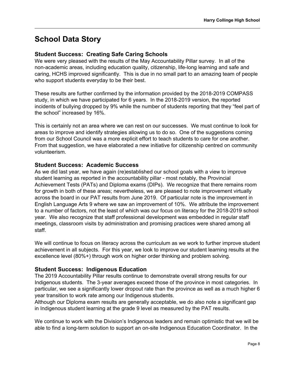### **School Data Story**

#### **Student Success: Creating Safe Caring Schools**

We were very pleased with the results of the May Accountability Pillar survey. In all of the non-academic areas, including education quality, citizenship, life-long learning and safe and caring, HCHS improved significantly. This is due in no small part to an amazing team of people who support students everyday to be their best.

These results are further confirmed by the information provided by the 2018-2019 COMPASS study, in which we have participated for 6 years. In the 2018-2019 version, the reported incidents of bullying dropped by 9% while the number of students reporting that they "feel part of the school" increased by 16%.

This is certainly not an area where we can rest on our successes. We must continue to look for areas to improve and identify strategies allowing us to do so. One of the suggestions coming from our School Council was a more explicit effort to teach students to care for one another. From that suggestion, we have elaborated a new initiative for citizenship centred on community volunteerism.

#### **Student Success: Academic Success**

As we did last year, we have again (re)established our school goals with a view to improve student learning as reported in the accountability pillar - most notably, the Provincial Achievement Tests (PATs) and Diploma exams (DIPs). We recognize that there remains room for growth in both of these areas; nevertheless, we are pleased to note improvement virtually across the board in our PAT results from June 2019. Of particular note is the improvement in English Language Arts 9 where we saw an improvement of 10%. We attribute the improvement to a number of factors, not the least of which was our focus on literacy for the 2018-2019 school year. We also recognize that staff professional development was embedded in regular staff meetings, classroom visits by administration and promising practices were shared among all staff.

We will continue to focus on literacy across the curriculum as we work to further improve student achievement in all subjects. For this year, we look to improve our student learning results at the excellence level (80%+) through work on higher order thinking and problem solving.

#### **Student Success: Indigenous Education**

The 2019 Accountability Pillar results continue to demonstrate overall strong results for our Indigenous students. The 3-year averages exceed those of the province in most categories. In particular, we see a significantly lower dropout rate than the province as well as a much higher 6 year transition to work rate among our Indigenous students.

Although our Diploma exam results are generally acceptable, we do also note a significant gap in Indigenous student learning at the grade 9 level as measured by the PAT results.

We continue to work with the Division's Indigenous leaders and remain optimistic that we will be able to find a long-term solution to support an on-site Indigenous Education Coordinator. In the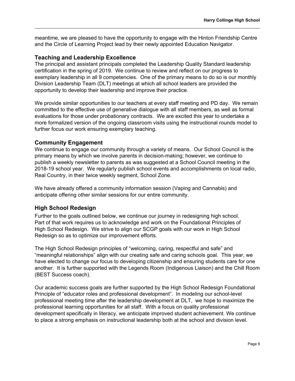meantime, we are pleased to have the opportunity to engage with the Hinton Friendship Centre and the Circle of Learning Project lead by their newly appointed Education Navigator.

#### **Teaching and Leadership Excellence**

The principal and assistant principals completed the Leadership Quality Standard leadership certification in the spring of 2019. We continue to review and reflect on our progress to exemplary leadership in all 9 competencies. One of the primary means to do so is our monthly Division Leadership Team (DLT) meetings at which all school leaders are provided the opportunity to develop their leadership and improve their practice.

We provide similar opportunities to our teachers at every staff meeting and PD day. We remain committed to the effective use of generative dialogue with all staff members, as well as formal evaluations for those under probationary contracts. We are excited this year to undertake a more formalized version of the ongoing classroom visits using the instructional rounds model to further focus our work ensuring exemplary teaching.

#### **Community Engagement**

We continue to engage our community through a variety of means. Our School Council is the primary means by which we involve parents in decision-making; however, we continue to publish a weekly newsletter to parents as was suggested at a School Council meeting in the 2018-19 school year. We regularly publish school events and accomplishments on local radio, Real Country, in their twice weekly segment, School Zone.

We have already offered a community information session (Vaping and Cannabis) and anticipate offering other similar sessions for our entire community.

#### **High School Redesign**

Further to the goals outlined below, we continue our journey in redesigning high school. Part of that work requires us to acknowledge and work on the Foundational Principles of High School Redesign. We strive to align our SCGP goals with our work in High School Redesign so as to optimize our improvement efforts.

The High School Redesign principles of "welcoming, caring, respectful and safe" and "meaningful relationships" align with our creating safe and caring schools goal. This year, we have elected to change our focus to developing citizenship and ensuring students care for one another. It is further supported with the Legends Room (Indigenous Liaison) and the Chill Room (BEST Success coach).

Our academic success goals are further supported by the High School Redesign Foundational Principle of "educator roles and professional development". In modeling our school-level professional meeting time after the leadership development at DLT, we hope to maximize the professional learning opportunities for all staff. With a focus on quality professional development specifically in literacy, we anticipate improved student achievement. We continue to place a strong emphasis on instructional leadership both at the school and division level.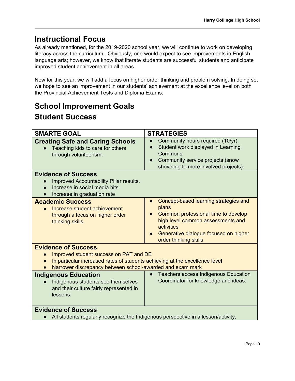### **Instructional Focus**

As already mentioned, for the 2019-2020 school year, we will continue to work on developing literacy across the curriculum. Obviously, one would expect to see improvements in English language arts; however, we know that literate students are successful students and anticipate improved student achievement in all areas.

New for this year, we will add a focus on higher order thinking and problem solving. In doing so, we hope to see an improvement in our students' achievement at the excellence level on both the Provincial Achievement Tests and Diploma Exams.

# **School Improvement Goals Student Success**

| <b>SMARTE GOAL</b>                                                                                                                                                                                               | <b>STRATEGIES</b>                                                                                                                                                                                                                    |  |  |  |
|------------------------------------------------------------------------------------------------------------------------------------------------------------------------------------------------------------------|--------------------------------------------------------------------------------------------------------------------------------------------------------------------------------------------------------------------------------------|--|--|--|
| <b>Creating Safe and Caring Schools</b><br>Teaching kids to care for others<br>through volunteerism.                                                                                                             | Community hours required (10/yr).<br>$\bullet$<br>Student work displayed in Learning<br>$\bullet$<br>Commons<br>Community service projects (snow<br>shoveling to more involved projects).                                            |  |  |  |
| <b>Evidence of Success</b><br>Improved Accountability Pillar results.<br>Increase in social media hits<br>Increase in graduation rate                                                                            |                                                                                                                                                                                                                                      |  |  |  |
| <b>Academic Success</b><br>Increase student achievement<br>through a focus on higher order<br>thinking skills.                                                                                                   | Concept-based learning strategies and<br>$\bullet$<br>plans<br>Common professional time to develop<br>high level common assessments and<br>activities<br>Generative dialogue focused on higher<br>$\bullet$<br>order thinking skills |  |  |  |
| <b>Evidence of Success</b><br>Improved student success on PAT and DE<br>In particular increased rates of students achieving at the excellence level<br>Narrower discrepancy between school-awarded and exam mark |                                                                                                                                                                                                                                      |  |  |  |
| <b>Indigenous Education</b><br>Indigenous students see themselves<br>and their culture fairly represented in<br>lessons.                                                                                         | <b>Teachers access Indigenous Education</b><br>$\bullet$<br>Coordinator for knowledge and ideas.                                                                                                                                     |  |  |  |
| <b>Evidence of Success</b><br>All students regularly recognize the Indigenous perspective in a lesson/activity.                                                                                                  |                                                                                                                                                                                                                                      |  |  |  |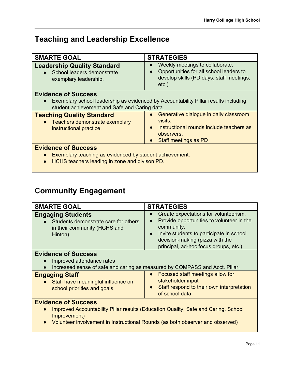# **Teaching and Leadership Excellence**

| <b>SMARTE GOAL</b>                                                                                                                                  | <b>STRATEGIES</b>                                                                                                                                                          |  |  |  |  |
|-----------------------------------------------------------------------------------------------------------------------------------------------------|----------------------------------------------------------------------------------------------------------------------------------------------------------------------------|--|--|--|--|
| <b>Leadership Quality Standard</b><br>School leaders demonstrate<br>exemplary leadership.                                                           | Weekly meetings to collaborate.<br>Opportunities for all school leaders to<br>$\bullet$<br>develop skills (PD days, staff meetings,<br>$etc.$ )                            |  |  |  |  |
| <b>Evidence of Success</b><br>student achievement and Safe and Caring data.                                                                         | Exemplary school leadership as evidenced by Accountability Pillar results including                                                                                        |  |  |  |  |
| <b>Teaching Quality Standard</b><br>• Teachers demonstrate exemplary<br>instructional practice.                                                     | Generative dialogue in daily classroom<br>$\bullet$<br>visits.<br>Instructional rounds include teachers as<br>$\bullet$<br>observers.<br>Staff meetings as PD<br>$\bullet$ |  |  |  |  |
| <b>Evidence of Success</b><br>Exemplary teaching as evidenced by student achievement.<br>HCHS teachers leading in zone and divison PD.<br>$\bullet$ |                                                                                                                                                                            |  |  |  |  |

# **Community Engagement**

| <b>SMARTE GOAL</b>                                                                                                          | <b>STRATEGIES</b>                                                                                                                                                                                                                                               |
|-----------------------------------------------------------------------------------------------------------------------------|-----------------------------------------------------------------------------------------------------------------------------------------------------------------------------------------------------------------------------------------------------------------|
| <b>Engaging Students</b><br>Students demonstrate care for others<br>in their community (HCHS and<br>Hinton).                | Create expectations for volunteerism.<br>$\bullet$<br>Provide opportunities to volunteer in the<br>$\bullet$<br>community.<br>Invite students to participate in school<br>$\bullet$<br>decision-making (pizza with the<br>principal, ad-hoc focus groups, etc.) |
| <b>Evidence of Success</b><br>Improved attendance rates<br>$\bullet$                                                        | Increased sense of safe and caring as measured by COMPASS and Acct. Pillar.                                                                                                                                                                                     |
| <b>Engaging Staff</b><br>Staff have meaningful influence on<br>school priorities and goals.                                 | Focused staff meetings allow for<br>$\bullet$<br>stakeholder input<br>Staff respond to their own interpretation<br>$\bullet$<br>of school data                                                                                                                  |
| <b>Evidence of Success</b><br>Improvement)<br>Volunteer involvement in Instructional Rounds (as both observer and observed) | Improved Accountability Pillar results (Education Quality, Safe and Caring, School                                                                                                                                                                              |